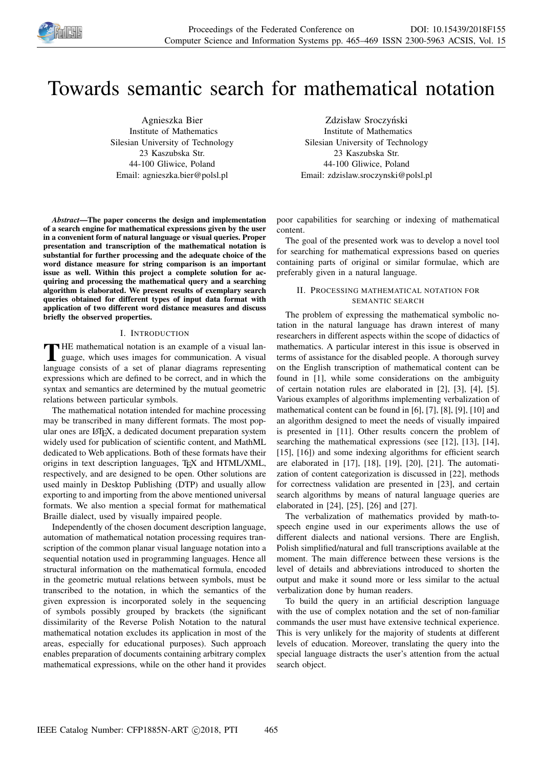

# Towards semantic search for mathematical notation

Agnieszka Bier Institute of Mathematics Silesian University of Technology 23 Kaszubska Str. 44-100 Gliwice, Poland Email: agnieszka.bier@polsl.pl

*Abstract*—The paper concerns the design and implementation of a search engine for mathematical expressions given by the user in a convenient form of natural language or visual queries. Proper presentation and transcription of the mathematical notation is substantial for further processing and the adequate choice of the word distance measure for string comparison is an important issue as well. Within this project a complete solution for acquiring and processing the mathematical query and a searching algorithm is elaborated. We present results of exemplary search queries obtained for different types of input data format with application of two different word distance measures and discuss briefly the observed properties.

### I. INTRODUCTION

THE mathematical notation is an example of a visual language, which uses images for communication. A visual HE mathematical notation is an example of a visual lanlanguage consists of a set of planar diagrams representing expressions which are defined to be correct, and in which the syntax and semantics are determined by the mutual geometric relations between particular symbols.

The mathematical notation intended for machine processing may be transcribed in many different formats. The most popular ones are LATEX, a dedicated document preparation system widely used for publication of scientific content, and MathML dedicated to Web applications. Both of these formats have their origins in text description languages, TEX and HTML/XML, respectively, and are designed to be open. Other solutions are used mainly in Desktop Publishing (DTP) and usually allow exporting to and importing from the above mentioned universal formats. We also mention a special format for mathematical Braille dialect, used by visually impaired people.

Independently of the chosen document description language, automation of mathematical notation processing requires transcription of the common planar visual language notation into a sequential notation used in programming languages. Hence all structural information on the mathematical formula, encoded in the geometric mutual relations between symbols, must be transcribed to the notation, in which the semantics of the given expression is incorporated solely in the sequencing of symbols possibly grouped by brackets (the significant dissimilarity of the Reverse Polish Notation to the natural mathematical notation excludes its application in most of the areas, especially for educational purposes). Such approach enables preparation of documents containing arbitrary complex mathematical expressions, while on the other hand it provides

Zdzisław Sroczyński Institute of Mathematics Silesian University of Technology 23 Kaszubska Str. 44-100 Gliwice, Poland Email: zdzislaw.sroczynski@polsl.pl

poor capabilities for searching or indexing of mathematical content.

The goal of the presented work was to develop a novel tool for searching for mathematical expressions based on queries containing parts of original or similar formulae, which are preferably given in a natural language.

## II. PROCESSING MATHEMATICAL NOTATION FOR SEMANTIC SEARCH

The problem of expressing the mathematical symbolic notation in the natural language has drawn interest of many researchers in different aspects within the scope of didactics of mathematics. A particular interest in this issue is observed in terms of assistance for the disabled people. A thorough survey on the English transcription of mathematical content can be found in [1], while some considerations on the ambiguity of certain notation rules are elaborated in [2], [3], [4], [5]. Various examples of algorithms implementing verbalization of mathematical content can be found in [6], [7], [8], [9], [10] and an algorithm designed to meet the needs of visually impaired is presented in [11]. Other results concern the problem of searching the mathematical expressions (see [12], [13], [14], [15], [16]) and some indexing algorithms for efficient search are elaborated in [17], [18], [19], [20], [21]. The automatization of content categorization is discussed in [22], methods for correctness validation are presented in [23], and certain search algorithms by means of natural language queries are elaborated in [24], [25], [26] and [27].

The verbalization of mathematics provided by math-tospeech engine used in our experiments allows the use of different dialects and national versions. There are English, Polish simplified/natural and full transcriptions available at the moment. The main difference between these versions is the level of details and abbreviations introduced to shorten the output and make it sound more or less similar to the actual verbalization done by human readers.

To build the query in an artificial description language with the use of complex notation and the set of non-familiar commands the user must have extensive technical experience. This is very unlikely for the majority of students at different levels of education. Moreover, translating the query into the special language distracts the user's attention from the actual search object.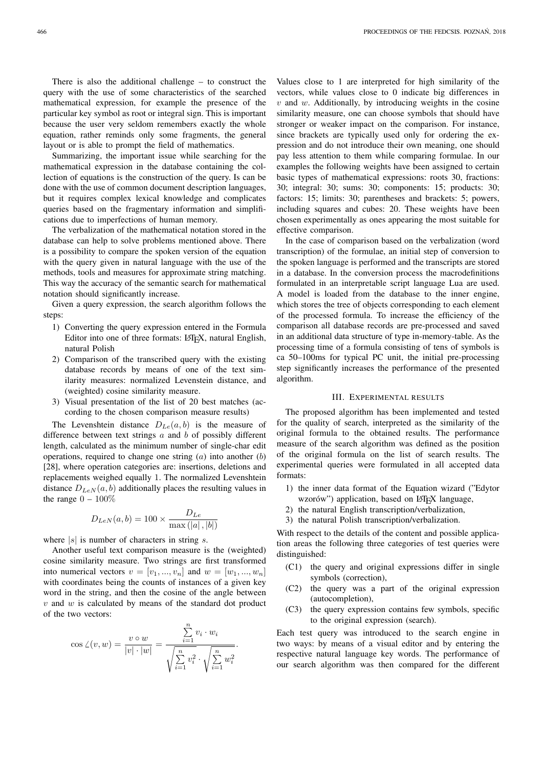There is also the additional challenge – to construct the query with the use of some characteristics of the searched mathematical expression, for example the presence of the particular key symbol as root or integral sign. This is important because the user very seldom remembers exactly the whole equation, rather reminds only some fragments, the general layout or is able to prompt the field of mathematics.

Summarizing, the important issue while searching for the mathematical expression in the database containing the collection of equations is the construction of the query. Is can be done with the use of common document description languages, but it requires complex lexical knowledge and complicates queries based on the fragmentary information and simplifications due to imperfections of human memory.

The verbalization of the mathematical notation stored in the database can help to solve problems mentioned above. There is a possibility to compare the spoken version of the equation with the query given in natural language with the use of the methods, tools and measures for approximate string matching. This way the accuracy of the semantic search for mathematical notation should significantly increase.

Given a query expression, the search algorithm follows the steps:

- 1) Converting the query expression entered in the Formula Editor into one of three formats: LATEX, natural English, natural Polish
- 2) Comparison of the transcribed query with the existing database records by means of one of the text similarity measures: normalized Levenstein distance, and (weighted) cosine similarity measure.
- 3) Visual presentation of the list of 20 best matches (according to the chosen comparison measure results)

The Levenshtein distance  $D_{Le}(a, b)$  is the measure of difference between text strings  $a$  and  $b$  of possibly different length, calculated as the minimum number of single-char edit operations, required to change one string  $(a)$  into another  $(b)$ [28], where operation categories are: insertions, deletions and replacements weighed equally 1. The normalized Levenshtein distance  $D_{LeN}(a, b)$  additionally places the resulting values in the range  $0 - 100\%$ 

$$
D_{LeN}(a, b) = 100 \times \frac{D_{Le}}{\max(|a|, |b|)}
$$

where  $|s|$  is number of characters in string s.

Another useful text comparison measure is the (weighted) cosine similarity measure. Two strings are first transformed into numerical vectors  $v = [v_1, ..., v_n]$  and  $w = [w_1, ..., w_n]$ with coordinates being the counts of instances of a given key word in the string, and then the cosine of the angle between  $v$  and  $w$  is calculated by means of the standard dot product of the two vectors:

$$
\cos \angle(v, w) = \frac{v \circ w}{|v| \cdot |w|} = \frac{\sum_{i=1}^{n} v_i \cdot w_i}{\sqrt{\sum_{i=1}^{n} v_i^2} \cdot \sqrt{\sum_{i=1}^{n} w_i^2}}.
$$

Values close to 1 are interpreted for high similarity of the vectors, while values close to 0 indicate big differences in  $v$  and  $w$ . Additionally, by introducing weights in the cosine similarity measure, one can choose symbols that should have stronger or weaker impact on the comparison. For instance, since brackets are typically used only for ordering the expression and do not introduce their own meaning, one should pay less attention to them while comparing formulae. In our examples the following weights have been assigned to certain basic types of mathematical expressions: roots 30, fractions: 30; integral: 30; sums: 30; components: 15; products: 30; factors: 15; limits: 30; parentheses and brackets: 5; powers, including squares and cubes: 20. These weights have been chosen experimentally as ones appearing the most suitable for effective comparison.

In the case of comparison based on the verbalization (word transcription) of the formulae, an initial step of conversion to the spoken language is performed and the transcripts are stored in a database. In the conversion process the macrodefinitions formulated in an interpretable script language Lua are used. A model is loaded from the database to the inner engine, which stores the tree of objects corresponding to each element of the processed formula. To increase the efficiency of the comparison all database records are pre-processed and saved in an additional data structure of type in-memory-table. As the processing time of a formula consisting of tens of symbols is ca 50–100ms for typical PC unit, the initial pre-processing step significantly increases the performance of the presented algorithm.

### III. EXPERIMENTAL RESULTS

The proposed algorithm has been implemented and tested for the quality of search, interpreted as the similarity of the original formula to the obtained results. The performance measure of the search algorithm was defined as the position of the original formula on the list of search results. The experimental queries were formulated in all accepted data formats:

- 1) the inner data format of the Equation wizard ("Edytor wzorów") application, based on LATEX language,
- 2) the natural English transcription/verbalization,
- 3) the natural Polish transcription/verbalization.

With respect to the details of the content and possible application areas the following three categories of test queries were distinguished:

- (C1) the query and original expressions differ in single symbols (correction),
- (C2) the query was a part of the original expression (autocompletion),
- (C3) the query expression contains few symbols, specific to the original expression (search).

Each test query was introduced to the search engine in two ways: by means of a visual editor and by entering the respective natural language key words. The performance of our search algorithm was then compared for the different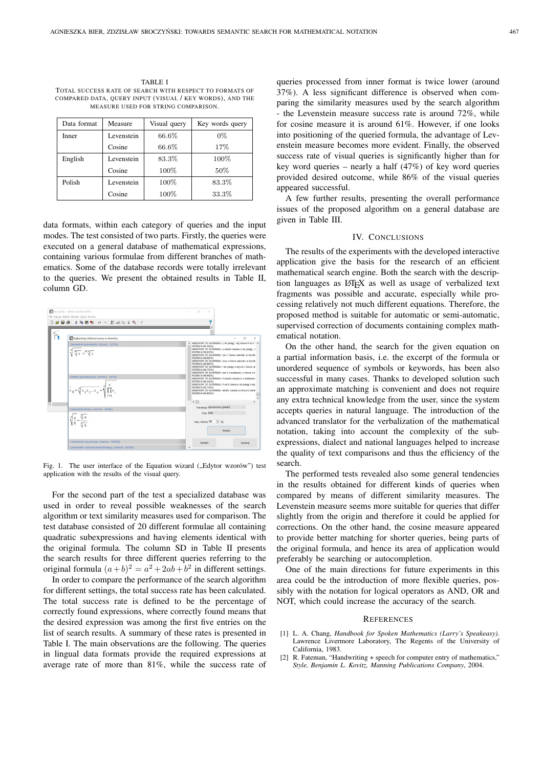TABLE I TOTAL SUCCESS RATE OF SEARCH WITH RESPECT TO FORMATS OF COMPARED DATA, QUERY INPUT (VISUAL / KEY WORDS), AND THE MEASURE USED FOR STRING COMPARISON.

| Data format | Measure    | Visual query | Key words query |
|-------------|------------|--------------|-----------------|
| Inner       | Levenstein | 66.6%        | $0\%$           |
|             | Cosine     | 66.6%        | 17%             |
| English     | Levenstein | 83.3%        | 100%            |
|             | Cosine     | 100%         | 50%             |
| Polish      | Levenstein | 100%         | 83.3%           |
|             | Cosine     | 100%         | 33.3%           |

data formats, within each category of queries and the input modes. The test consisted of two parts. Firstly, the queries were executed on a general database of mathematical expressions, containing various formulae from different branches of mathematics. Some of the database records were totally irrelevant to the queries. We present the obtained results in Table II, column GD.



Fig. 1. The user interface of the Equation wizard ("Edytor wzorów") test application with the results of the visual query.

For the second part of the test a specialized database was used in order to reveal possible weaknesses of the search algorithm or text similarity measures used for comparison. The test database consisted of 20 different formulae all containing quadratic subexpressions and having elements identical with the original formula. The column SD in Table II presents the search results for three different queries referring to the original formula  $(a+b)^2 = a^2 + 2ab + b^2$  in different settings.

In order to compare the performance of the search algorithm for different settings, the total success rate has been calculated. The total success rate is defined to be the percentage of correctly found expressions, where correctly found means that the desired expression was among the first five entries on the list of search results. A summary of these rates is presented in Table I. The main observations are the following. The queries in lingual data formats provide the required expressions at average rate of more than 81%, while the success rate of queries processed from inner format is twice lower (around 37%). A less significant difference is observed when comparing the similarity measures used by the search algorithm - the Levenstein measure success rate is around 72%, while for cosine measure it is around 61%. However, if one looks into positioning of the queried formula, the advantage of Levenstein measure becomes more evident. Finally, the observed success rate of visual queries is significantly higher than for key word queries – nearly a half (47%) of key word queries provided desired outcome, while 86% of the visual queries appeared successful.

A few further results, presenting the overall performance issues of the proposed algorithm on a general database are given in Table III.

#### IV. CONCLUSIONS

The results of the experiments with the developed interactive application give the basis for the research of an efficient mathematical search engine. Both the search with the description languages as LATEX as well as usage of verbalized text fragments was possible and accurate, especially while processing relatively not much different equations. Therefore, the proposed method is suitable for automatic or semi-automatic, supervised correction of documents containing complex mathematical notation.

On the other hand, the search for the given equation on a partial information basis, i.e. the excerpt of the formula or unordered sequence of symbols or keywords, has been also successful in many cases. Thanks to developed solution such an approximate matching is convenient and does not require any extra technical knowledge from the user, since the system accepts queries in natural language. The introduction of the advanced translator for the verbalization of the mathematical notation, taking into account the complexity of the subexpressions, dialect and national languages helped to increase the quality of text comparisons and thus the efficiency of the search.

The performed tests revealed also some general tendencies in the results obtained for different kinds of queries when compared by means of different similarity measures. The Levenstein measure seems more suitable for queries that differ slightly from the origin and therefore it could be applied for corrections. On the other hand, the cosine measure appeared to provide better matching for shorter queries, being parts of the original formula, and hence its area of application would preferably be searching or autocompletion.

One of the main directions for future experiments in this area could be the introduction of more flexible queries, possibly with the notation for logical operators as AND, OR and NOT, which could increase the accuracy of the search.

#### **REFERENCES**

- [1] L. A. Chang, *Handbook for Spoken Mathematics (Larry's Speakeasy)*. Lawrence Livermore Laboratory, The Regents of the University of California, 1983.
- [2]  $R$ . Fateman, "Handwriting  $+$  speech for computer entry of mathematics," *Style, Benjamin L. Kovitz, Manning Publications Company*, 2004.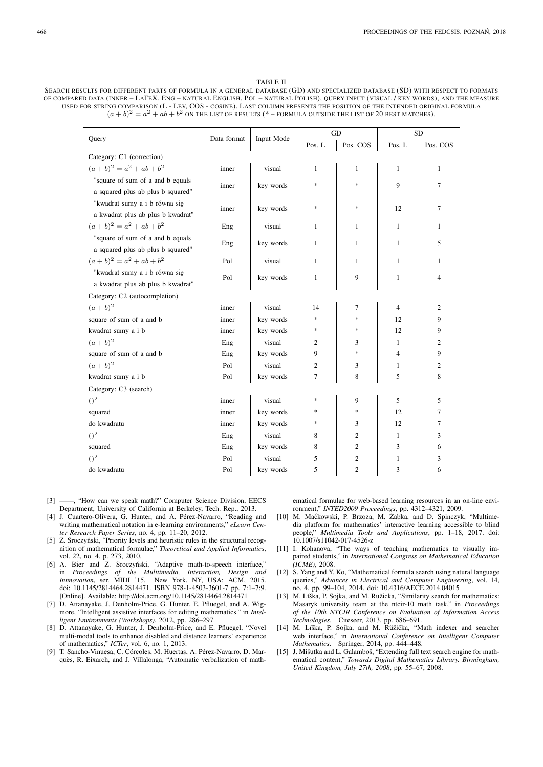#### TABLE II

SEARCH RESULTS FOR DIFFERENT PARTS OF FORMULA IN A GENERAL DATABASE (GD) AND SPECIALIZED DATABASE (SD) WITH RESPECT TO FORMATS OF COMPARED DATA (INNER – LATEX, ENG – NATURAL ENGLISH, POL – NATURAL POLISH), QUERY INPUT (VISUAL / KEY WORDS), AND THE MEASURE USED FOR STRING COMPARISON (L - LEV, COS - COSINE). LAST COLUMN PRESENTS THE POSITION OF THE INTENDED ORIGINAL FORMULA  $(a + b)^2 = a^2 + ab + b^2$  on the list of results (\* – formula outside the list of 20 best matches).

| Query                             | Data format | Input Mode | <b>GD</b>    |                | <b>SD</b>      |                |  |
|-----------------------------------|-------------|------------|--------------|----------------|----------------|----------------|--|
|                                   |             |            | Pos. L       | Pos. COS       | Pos. L         | Pos. COS       |  |
| Category: C1 (correction)         |             |            |              |                |                |                |  |
| $(a + b)^2 = a^2 + ab + b^2$      | inner       | visual     | $\mathbf{1}$ | $\mathbf{1}$   | $\mathbf{1}$   | $\mathbf{1}$   |  |
| "square of sum of a and b equals  | inner       | key words  | $\ast$       | *              | 9              | $\overline{7}$ |  |
| a squared plus ab plus b squared" |             |            |              |                |                |                |  |
| "kwadrat sumy a i b równa się     | inner       | key words  | $\ast$       | $\ast$         | 12             | 7              |  |
| a kwadrat plus ab plus b kwadrat" |             |            |              |                |                |                |  |
| $(a + b)^2 = a^2 + ab + b^2$      | Eng         | visual     | 1            | $\mathbf{1}$   | $\mathbf{1}$   | 1              |  |
| "square of sum of a and b equals  | Eng         | key words  | 1            | $\mathbf{1}$   | $\mathbf{1}$   | 5              |  |
| a squared plus ab plus b squared" |             |            |              |                |                |                |  |
| $(a + b)^2 = a^2 + ab + b^2$      | Pol         | visual     | $\mathbf{1}$ | $\mathbf{1}$   | $\mathbf{1}$   | $\mathbf{1}$   |  |
| "kwadrat sumy a i b równa się     | Pol         | key words  | $\mathbf{1}$ | 9              | $\mathbf{1}$   | $\overline{4}$ |  |
| a kwadrat plus ab plus b kwadrat" |             |            |              |                |                |                |  |
| Category: C2 (autocompletion)     |             |            |              |                |                |                |  |
| $(a + b)^2$                       | inner       | visual     | 14           | $\overline{7}$ | $\overline{4}$ | $\overline{c}$ |  |
| square of sum of a and b          | inner       | key words  | $\ast$       | $\ast$         | 12             | 9              |  |
| kwadrat sumy a i b                | inner       | key words  | $\ast$       | $\ast$         | 12             | 9              |  |
| $(a + b)^2$                       | Eng         | visual     | 2            | 3              | 1              | 2              |  |
| square of sum of a and b          | Eng         | key words  | 9            | $\ast$         | 4              | 9              |  |
| $(a + b)^2$                       | Pol         | visual     | 2            | 3              | $\mathbf{1}$   | 2              |  |
| kwadrat sumy a i b                | Pol         | key words  | $\tau$       | 8              | 5              | 8              |  |
| Category: C3 (search)             |             |            |              |                |                |                |  |
| $()^{2}$                          | inner       | visual     | $\ast$       | 9              | 5              | 5              |  |
| squared                           | inner       | key words  | ∗            | $\ast$         | 12             | 7              |  |
| do kwadratu                       | inner       | key words  | $\ast$       | 3              | 12             | 7              |  |
| $()^{2}$                          | Eng         | visual     | 8            | 2              | 1              | 3              |  |
| squared                           | Eng         | key words  | 8            | 2              | 3              | 6              |  |
| $()^{2}$                          | Pol         | visual     | 5            | 2              | 1              | 3              |  |
| do kwadratu                       | Pol         | key words  | 5            | $\overline{2}$ | 3              | 6              |  |

- [3] ——, "How can we speak math?" Computer Science Division, EECS Department, University of California at Berkeley, Tech. Rep., 2013.
- [4] J. Cuartero-Olivera, G. Hunter, and A. Pérez-Navarro, "Reading and writing mathematical notation in e-learning environments," *eLearn Center Research Paper Series*, no. 4, pp. 11–20, 2012.
- [5] Z. Sroczyński, "Priority levels and heuristic rules in the structural recognition of mathematical formulae," *Theoretical and Applied Informatics*, vol. 22, no. 4, p. 273, 2010.
- [6] A. Bier and Z. Sroczyński, "Adaptive math-to-speech interface," in *Proceedings of the Mulitimedia, Interaction, Design and Innnovation*, ser. MIDI '15. New York, NY, USA: ACM, 2015. doi: 10.1145/2814464.2814471. ISBN 978-1-4503-3601-7 pp. 7:1–7:9. [Online]. Available: http://doi.acm.org/10.1145/2814464.2814471
- [7] D. Attanayake, J. Denholm-Price, G. Hunter, E. Pfluegel, and A. Wigmore, "Intelligent assistive interfaces for editing mathematics." in *Intelligent Environments (Workshops)*, 2012, pp. 286–297.
- [8] D. Attanayake, G. Hunter, J. Denholm-Price, and E. Pfluegel, "Novel multi-modal tools to enhance disabled and distance learners' experience of mathematics," *ICTer*, vol. 6, no. 1, 2013.
- [9] T. Sancho-Vinuesa, C. Córcoles, M. Huertas, A. Pérez-Navarro, D. Marquès, R. Eixarch, and J. Villalonga, "Automatic verbalization of math-

ematical formulae for web-based learning resources in an on-line environment," *INTED2009 Proceedings*, pp. 4312–4321, 2009.

- [10] M. Maćkowski, P. Brzoza, M. Żabka, and D. Spinczyk, "Multimedia platform for mathematics' interactive learning accessible to blind people," *Multimedia Tools and Applications*, pp. 1–18, 2017. doi: 10.1007/s11042-017-4526-z
- [11] I. Kohanova, "The ways of teaching mathematics to visually impaired students," in *International Congress on Mathematical Education (ICME)*, 2008.
- [12] S. Yang and Y. Ko, "Mathematical formula search using natural language queries," *Advances in Electrical and Computer Engineering*, vol. 14, no. 4, pp. 99–104, 2014. doi: 10.4316/AECE.2014.04015
- [13] M. Líška, P. Sojka, and M. Ružicka, "Similarity search for mathematics: Masaryk university team at the ntcir-10 math task," in *Proceedings of the 10th NTCIR Conference on Evaluation of Information Access Technologies*. Citeseer, 2013, pp. 686–691.
- [14] M. Líška, P. Sojka, and M. Rŭžička, "Math indexer and searcher web interface," in *International Conference on Intelligent Computer Mathematics*. Springer, 2014, pp. 444–448.
- [15] J. Mišutka and L. Galamboš, "Extending full text search engine for mathematical content," *Towards Digital Mathematics Library. Birmingham, United Kingdom, July 27th, 2008*, pp. 55–67, 2008.